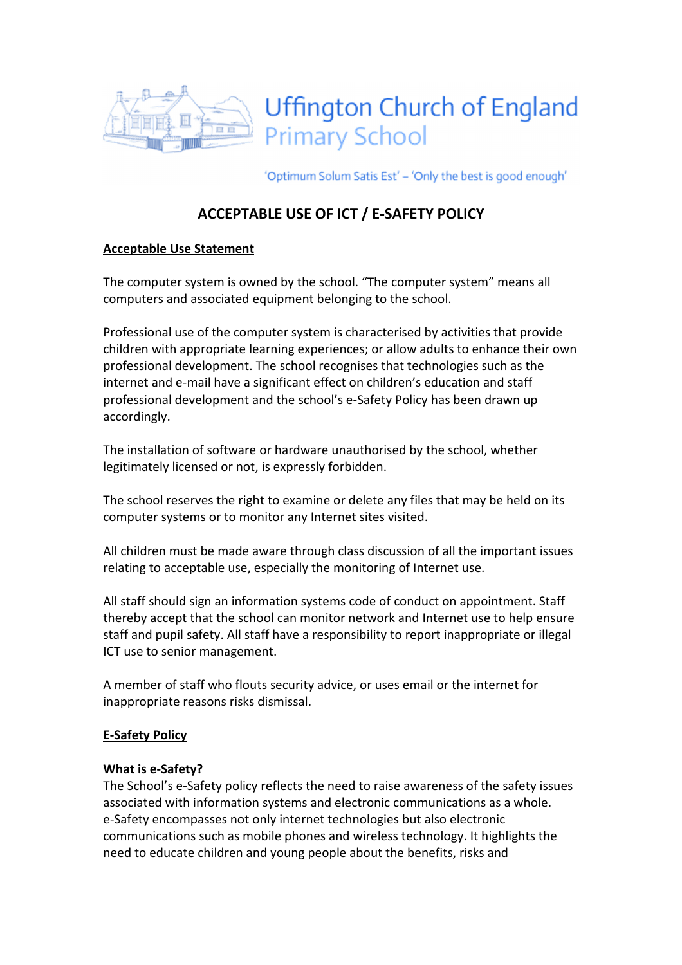

'Optimum Solum Satis Est' - 'Only the best is good enough'

# ACCEPTABLE USE OF ICT / E-SAFETY POLICY

### Acceptable Use Statement

The computer system is owned by the school. "The computer system" means all computers and associated equipment belonging to the school.

Professional use of the computer system is characterised by activities that provide children with appropriate learning experiences; or allow adults to enhance their own professional development. The school recognises that technologies such as the internet and e-mail have a significant effect on children's education and staff professional development and the school's e-Safety Policy has been drawn up accordingly.

The installation of software or hardware unauthorised by the school, whether legitimately licensed or not, is expressly forbidden.

The school reserves the right to examine or delete any files that may be held on its computer systems or to monitor any Internet sites visited.

All children must be made aware through class discussion of all the important issues relating to acceptable use, especially the monitoring of Internet use.

All staff should sign an information systems code of conduct on appointment. Staff thereby accept that the school can monitor network and Internet use to help ensure staff and pupil safety. All staff have a responsibility to report inappropriate or illegal ICT use to senior management.

A member of staff who flouts security advice, or uses email or the internet for inappropriate reasons risks dismissal.

# E-Safety Policy

### What is e-Safety?

The School's e-Safety policy reflects the need to raise awareness of the safety issues associated with information systems and electronic communications as a whole. e-Safety encompasses not only internet technologies but also electronic communications such as mobile phones and wireless technology. It highlights the need to educate children and young people about the benefits, risks and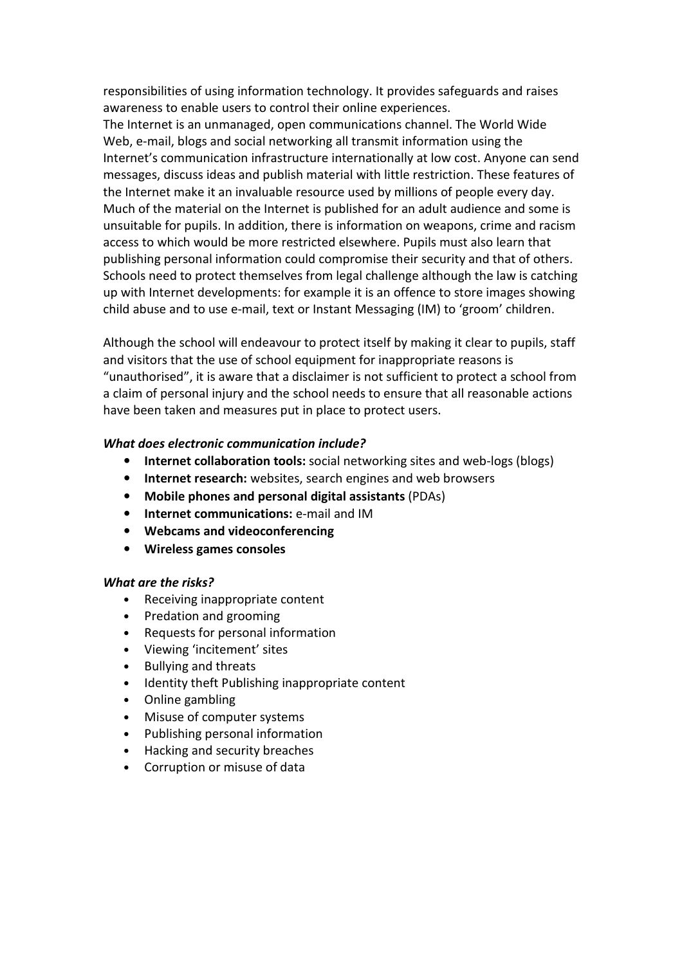responsibilities of using information technology. It provides safeguards and raises awareness to enable users to control their online experiences.

The Internet is an unmanaged, open communications channel. The World Wide Web, e-mail, blogs and social networking all transmit information using the Internet's communication infrastructure internationally at low cost. Anyone can send messages, discuss ideas and publish material with little restriction. These features of the Internet make it an invaluable resource used by millions of people every day. Much of the material on the Internet is published for an adult audience and some is unsuitable for pupils. In addition, there is information on weapons, crime and racism access to which would be more restricted elsewhere. Pupils must also learn that publishing personal information could compromise their security and that of others. Schools need to protect themselves from legal challenge although the law is catching up with Internet developments: for example it is an offence to store images showing child abuse and to use e-mail, text or Instant Messaging (IM) to 'groom' children.

Although the school will endeavour to protect itself by making it clear to pupils, staff and visitors that the use of school equipment for inappropriate reasons is "unauthorised", it is aware that a disclaimer is not sufficient to protect a school from a claim of personal injury and the school needs to ensure that all reasonable actions have been taken and measures put in place to protect users.

### What does electronic communication include?

- Internet collaboration tools: social networking sites and web-logs (blogs)
- Internet research: websites, search engines and web browsers
- Mobile phones and personal digital assistants (PDAs)
- Internet communications: e-mail and IM
- Webcams and videoconferencing
- Wireless games consoles

### What are the risks?

- Receiving inappropriate content
- Predation and grooming
- Requests for personal information
- Viewing 'incitement' sites
- Bullying and threats
- Identity theft Publishing inappropriate content
- Online gambling
- Misuse of computer systems
- Publishing personal information
- Hacking and security breaches
- Corruption or misuse of data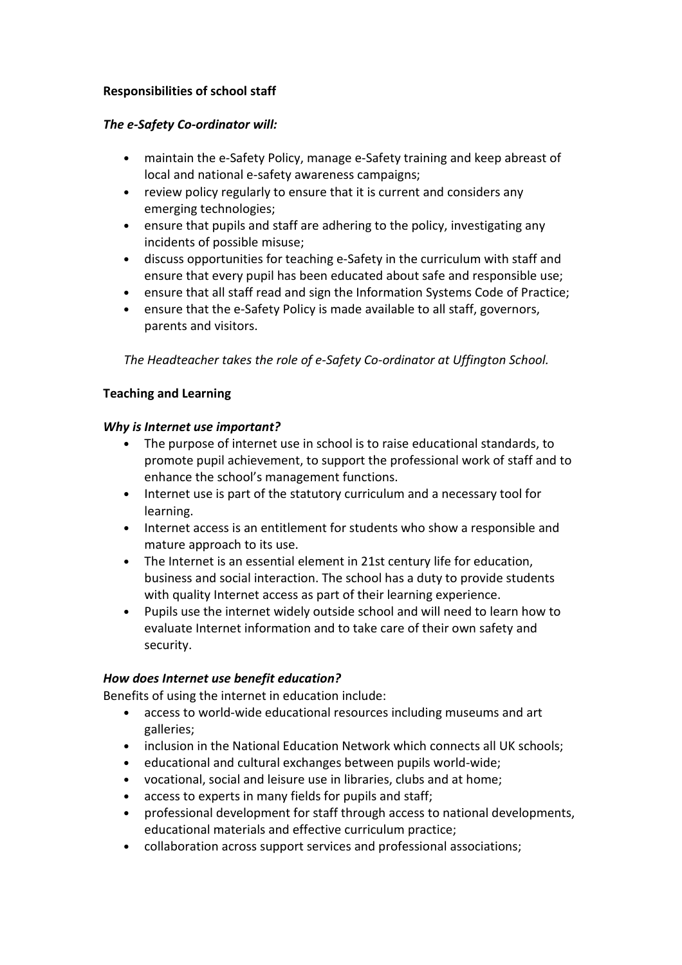# Responsibilities of school staff

### The e-Safety Co-ordinator will:

- maintain the e-Safety Policy, manage e-Safety training and keep abreast of local and national e-safety awareness campaigns;
- review policy regularly to ensure that it is current and considers any emerging technologies;
- ensure that pupils and staff are adhering to the policy, investigating any incidents of possible misuse;
- discuss opportunities for teaching e-Safety in the curriculum with staff and ensure that every pupil has been educated about safe and responsible use;
- ensure that all staff read and sign the Information Systems Code of Practice;
- ensure that the e-Safety Policy is made available to all staff, governors, parents and visitors.

The Headteacher takes the role of e-Safety Co-ordinator at Uffington School.

# Teaching and Learning

### Why is Internet use important?

- The purpose of internet use in school is to raise educational standards, to promote pupil achievement, to support the professional work of staff and to enhance the school's management functions.
- Internet use is part of the statutory curriculum and a necessary tool for learning.
- Internet access is an entitlement for students who show a responsible and mature approach to its use.
- The Internet is an essential element in 21st century life for education, business and social interaction. The school has a duty to provide students with quality Internet access as part of their learning experience.
- Pupils use the internet widely outside school and will need to learn how to evaluate Internet information and to take care of their own safety and security.

# How does Internet use benefit education?

Benefits of using the internet in education include:

- access to world-wide educational resources including museums and art galleries;
- inclusion in the National Education Network which connects all UK schools;
- educational and cultural exchanges between pupils world-wide;
- vocational, social and leisure use in libraries, clubs and at home;
- access to experts in many fields for pupils and staff;
- professional development for staff through access to national developments, educational materials and effective curriculum practice;
- collaboration across support services and professional associations;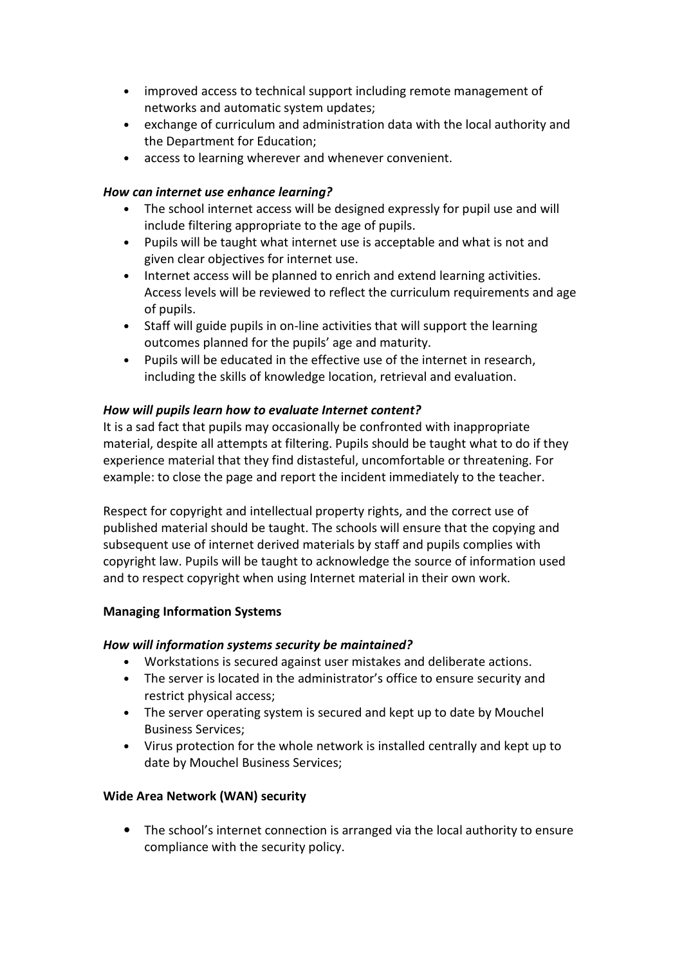- improved access to technical support including remote management of networks and automatic system updates;
- exchange of curriculum and administration data with the local authority and the Department for Education;
- access to learning wherever and whenever convenient.

# How can internet use enhance learning?

- The school internet access will be designed expressly for pupil use and will include filtering appropriate to the age of pupils.
- Pupils will be taught what internet use is acceptable and what is not and given clear objectives for internet use.
- Internet access will be planned to enrich and extend learning activities. Access levels will be reviewed to reflect the curriculum requirements and age of pupils.
- Staff will guide pupils in on-line activities that will support the learning outcomes planned for the pupils' age and maturity.
- Pupils will be educated in the effective use of the internet in research, including the skills of knowledge location, retrieval and evaluation.

# How will pupils learn how to evaluate Internet content?

It is a sad fact that pupils may occasionally be confronted with inappropriate material, despite all attempts at filtering. Pupils should be taught what to do if they experience material that they find distasteful, uncomfortable or threatening. For example: to close the page and report the incident immediately to the teacher.

Respect for copyright and intellectual property rights, and the correct use of published material should be taught. The schools will ensure that the copying and subsequent use of internet derived materials by staff and pupils complies with copyright law. Pupils will be taught to acknowledge the source of information used and to respect copyright when using Internet material in their own work.

# Managing Information Systems

# How will information systems security be maintained?

- Workstations is secured against user mistakes and deliberate actions.
- The server is located in the administrator's office to ensure security and restrict physical access;
- The server operating system is secured and kept up to date by Mouchel Business Services;
- Virus protection for the whole network is installed centrally and kept up to date by Mouchel Business Services;

# Wide Area Network (WAN) security

• The school's internet connection is arranged via the local authority to ensure compliance with the security policy.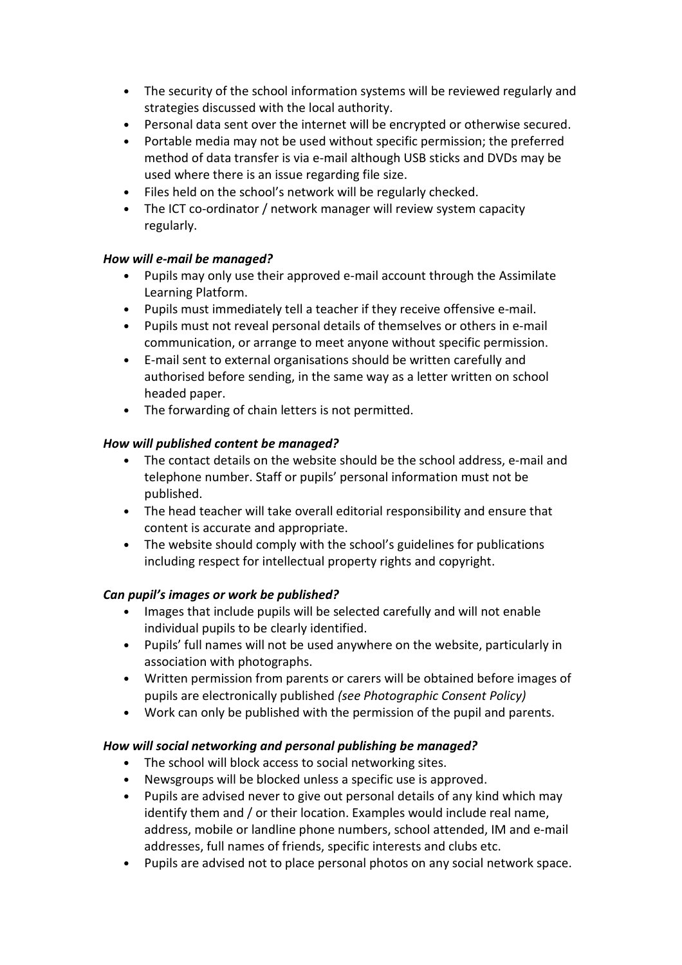- The security of the school information systems will be reviewed regularly and strategies discussed with the local authority.
- Personal data sent over the internet will be encrypted or otherwise secured.
- Portable media may not be used without specific permission; the preferred method of data transfer is via e-mail although USB sticks and DVDs may be used where there is an issue regarding file size.
- Files held on the school's network will be regularly checked.
- The ICT co-ordinator / network manager will review system capacity regularly.

# How will e-mail be managed?

- Pupils may only use their approved e-mail account through the Assimilate Learning Platform.
- Pupils must immediately tell a teacher if they receive offensive e-mail.
- Pupils must not reveal personal details of themselves or others in e-mail communication, or arrange to meet anyone without specific permission.
- E-mail sent to external organisations should be written carefully and authorised before sending, in the same way as a letter written on school headed paper.
- The forwarding of chain letters is not permitted.

# How will published content be managed?

- The contact details on the website should be the school address, e-mail and telephone number. Staff or pupils' personal information must not be published.
- The head teacher will take overall editorial responsibility and ensure that content is accurate and appropriate.
- The website should comply with the school's guidelines for publications including respect for intellectual property rights and copyright.

# Can pupil's images or work be published?

- Images that include pupils will be selected carefully and will not enable individual pupils to be clearly identified.
- Pupils' full names will not be used anywhere on the website, particularly in association with photographs.
- Written permission from parents or carers will be obtained before images of pupils are electronically published (see Photographic Consent Policy)
- Work can only be published with the permission of the pupil and parents.

# How will social networking and personal publishing be managed?

- The school will block access to social networking sites.
- Newsgroups will be blocked unless a specific use is approved.
- Pupils are advised never to give out personal details of any kind which may identify them and / or their location. Examples would include real name, address, mobile or landline phone numbers, school attended, IM and e-mail addresses, full names of friends, specific interests and clubs etc.
- Pupils are advised not to place personal photos on any social network space.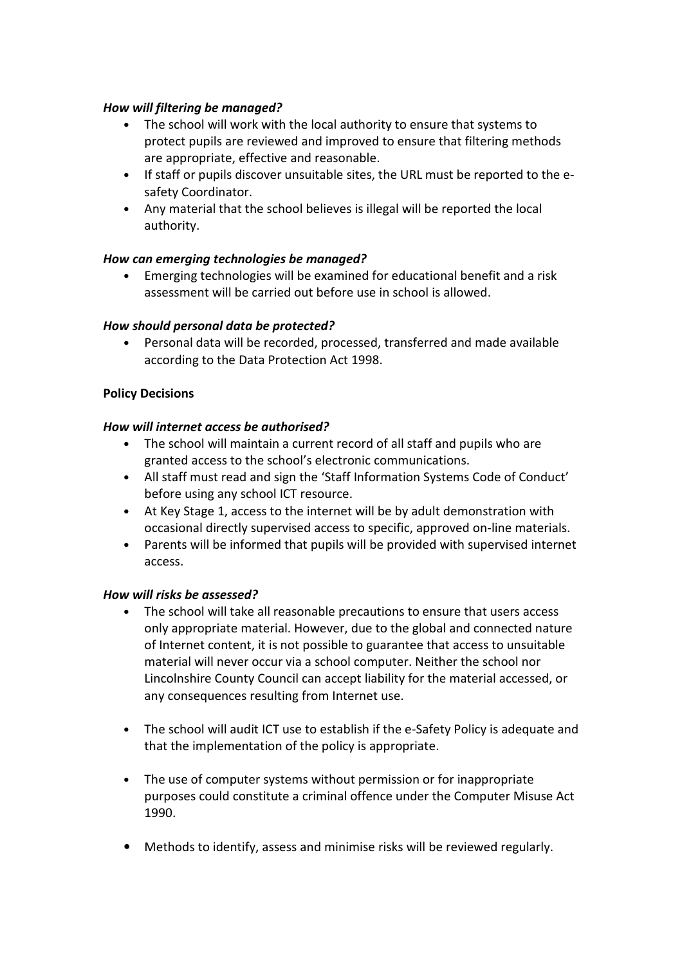### How will filtering be managed?

- The school will work with the local authority to ensure that systems to protect pupils are reviewed and improved to ensure that filtering methods are appropriate, effective and reasonable.
- If staff or pupils discover unsuitable sites, the URL must be reported to the esafety Coordinator.
- Any material that the school believes is illegal will be reported the local authority.

### How can emerging technologies be managed?

• Emerging technologies will be examined for educational benefit and a risk assessment will be carried out before use in school is allowed.

### How should personal data be protected?

• Personal data will be recorded, processed, transferred and made available according to the Data Protection Act 1998.

### Policy Decisions

### How will internet access be authorised?

- The school will maintain a current record of all staff and pupils who are granted access to the school's electronic communications.
- All staff must read and sign the 'Staff Information Systems Code of Conduct' before using any school ICT resource.
- At Key Stage 1, access to the internet will be by adult demonstration with occasional directly supervised access to specific, approved on-line materials.
- Parents will be informed that pupils will be provided with supervised internet access.

### How will risks be assessed?

- The school will take all reasonable precautions to ensure that users access only appropriate material. However, due to the global and connected nature of Internet content, it is not possible to guarantee that access to unsuitable material will never occur via a school computer. Neither the school nor Lincolnshire County Council can accept liability for the material accessed, or any consequences resulting from Internet use.
- The school will audit ICT use to establish if the e-Safety Policy is adequate and that the implementation of the policy is appropriate.
- The use of computer systems without permission or for inappropriate purposes could constitute a criminal offence under the Computer Misuse Act 1990.
- Methods to identify, assess and minimise risks will be reviewed regularly.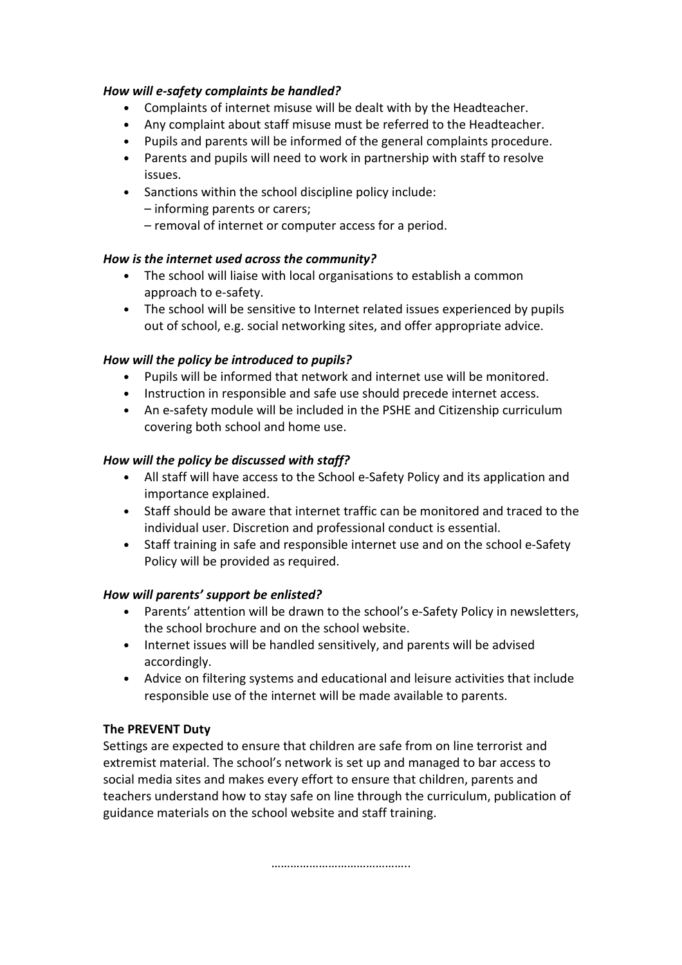### How will e-safety complaints be handled?

- Complaints of internet misuse will be dealt with by the Headteacher.
- Any complaint about staff misuse must be referred to the Headteacher.
- Pupils and parents will be informed of the general complaints procedure.
- Parents and pupils will need to work in partnership with staff to resolve issues.
- Sanctions within the school discipline policy include:
	- informing parents or carers;
	- removal of internet or computer access for a period.

# How is the internet used across the community?

- The school will liaise with local organisations to establish a common approach to e-safety.
- The school will be sensitive to Internet related issues experienced by pupils out of school, e.g. social networking sites, and offer appropriate advice.

# How will the policy be introduced to pupils?

- Pupils will be informed that network and internet use will be monitored.
- Instruction in responsible and safe use should precede internet access.
- An e-safety module will be included in the PSHE and Citizenship curriculum covering both school and home use.

# How will the policy be discussed with staff?

- All staff will have access to the School e-Safety Policy and its application and importance explained.
- Staff should be aware that internet traffic can be monitored and traced to the individual user. Discretion and professional conduct is essential.
- Staff training in safe and responsible internet use and on the school e-Safety Policy will be provided as required.

# How will parents' support be enlisted?

- Parents' attention will be drawn to the school's e-Safety Policy in newsletters, the school brochure and on the school website.
- Internet issues will be handled sensitively, and parents will be advised accordingly.
- Advice on filtering systems and educational and leisure activities that include responsible use of the internet will be made available to parents.

# The PREVENT Duty

Settings are expected to ensure that children are safe from on line terrorist and extremist material. The school's network is set up and managed to bar access to social media sites and makes every effort to ensure that children, parents and teachers understand how to stay safe on line through the curriculum, publication of guidance materials on the school website and staff training.

……………………………………..